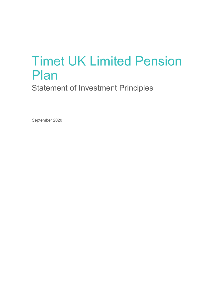# Timet UK Limited Pension Plan

Statement of Investment Principles

September 2020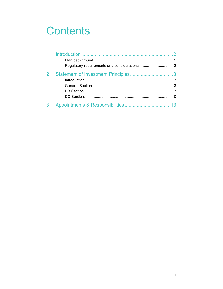## **Contents**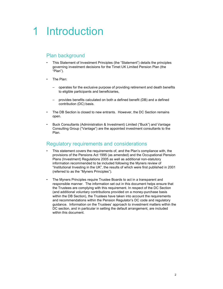## 1 Introduction

## Plan background

- This Statement of Investment Principles (the "Statement") details the principles governing investment decisions for the Timet UK Limited Pension Plan (the "Plan").
- The Plan:
	- operates for the exclusive purpose of providing retirement and death benefits to eligible participants and beneficiaries,
	- provides benefits calculated on both a defined benefit (DB) and a defined contribution (DC) basis.
- The DB Section is closed to new entrants. However, the DC Section remains open.
- Buck Consultants (Administration & Investment) Limited ("Buck") and Vantage Consulting Group ("Vantage") are the appointed investment consultants to the Plan.

## Regulatory requirements and considerations

- This statement covers the requirements of, and the Plan's compliance with, the provisions of the Pensions Act 1995 (as amended) and the Occupational Pension Plans (Investment) Regulations 2005 as well as additional non-statutory information recommended to be included following the Myners review of "Institutional Investing in the UK", the results of which were first published in 2001 (referred to as the "Myners Principles").
- The Myners Principles require Trustee Boards to act in a transparent and responsible manner. The information set out in this document helps ensure that the Trustees are complying with this requirement. In respect of the DC Section (and additional voluntary contributions provided on a money-purchase basis within the DB Section), the Trustees have taken into account the requirements and recommendations within the Pension Regulator's DC code and regulatory guidance. Information on the Trustees' approach to investment matters within the DC section, and in particular in setting the default arrangement, are included within this document.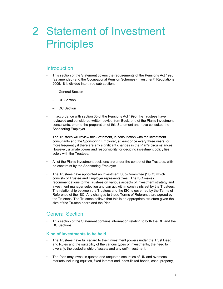## 2 Statement of Investment **Principles**

## **Introduction**

- This section of the Statement covers the requirements of the Pensions Act 1995 (as amended) and the Occupational Pension Schemes (Investment) Regulations 2005. It is divided into three sub-sections:
	- General Section
	- DB Section
	- DC Section
- In accordance with section 35 of the Pensions Act 1995, the Trustees have reviewed and considered written advice from Buck, one of the Plan's investment consultants, prior to the preparation of this Statement and have consulted the Sponsoring Employer.
- The Trustees will review this Statement, in consultation with the investment consultants and the Sponsoring Employer, at least once every three years, or more frequently if there are any significant changes in the Plan's circumstances. However, ultimate power and responsibility for deciding investment policy lies solely with the Trustees.
- All of the Plan's investment decisions are under the control of the Trustees, with no constraint by the Sponsoring Employer.
- The Trustees have appointed an Investment Sub-Committee ("ISC") which consists of Trustee and Employer representatives. The ISC makes recommendations to the Trustees on various aspects of investment strategy and investment manager selection and can act within constraints set by the Trustees. The relationship between the Trustees and the ISC is governed by the Terms of Reference of the ISC. Any changes to these Terms of Reference are agreed by the Trustees. The Trustees believe that this is an appropriate structure given the size of the Trustee board and the Plan.

## General Section

• This section of the Statement contains information relating to both the DB and the DC Sections.

## Kind of investments to be held

- The Trustees have full regard to their investment powers under the Trust Deed and Rules and the suitability of the various types of investments, the need to diversify, the custodianship of assets and any self-investment.
- The Plan may invest in quoted and unquoted securities of UK and overseas markets including equities, fixed interest and index-linked bonds, cash, property,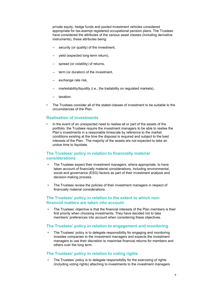private equity, hedge funds and pooled investment vehicles considered appropriate for tax-exempt registered occupational pension plans. The Trustees have considered the attributes of the various asset classes (including derivative instruments), these attributes being:

- security (or quality) of the investment,
- yield (expected long-term return),
- spread (or volatility) of returns,
- term (or duration) of the investment,
- exchange rate risk,
- marketability/liquidity (i.e., the tradability on regulated markets),
- taxation.
- The Trustees consider all of the stated classes of investment to be suitable to the circumstances of the Plan.

#### Realisation of investments

• In the event of an unexpected need to realise all or part of the assets of the portfolio, the Trustees require the investment managers to be able to realise the Plan's investments in a reasonable timescale by reference to the market conditions existing at the time the disposal is required and subject to the best interests of the Plan. The majority of the assets are not expected to take an undue time to liquidate.

## The Trustees' policy in relation to financially material considerations

- The Trustees expect their investment managers, where appropriate, to have taken account of financially material considerations, including environmental, social and governance (ESG) factors as part of their investment analysis and decision-making process.
- The Trustees review the policies of their investment managers in respect of financially material considerations.

## The Trustees' policy in relation to the extent to which nonfinancial matters are taken into account

The Trustees' objective is that the financial interests of the Plan members is their first priority when choosing investments. They have decided not to take members' preferences into account when considering these objectives.

## The Trustees' policy in relation to engagement and monitoring

The Trustees' policy is to delegate responsibility for engaging and monitoring investee companies to the investment managers and expects the investment managers to use their discretion to maximise financial returns for members and others over the long term.

## The Trustees' policy in relation to voting rights

The Trustees' policy is to delegate responsibility for the exercising of rights (including voting rights) attaching to investments to the investment managers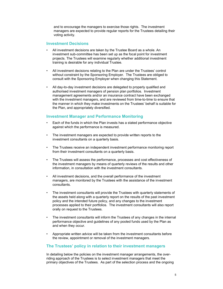and to encourage the managers to exercise those rights. The investment managers are expected to provide regular reports for the Trustees detailing their voting activity.

#### Investment Decisions

- All investment decisions are taken by the Trustee Board as a whole. An investment sub-committee has been set up as the focal point for investment projects. The Trustees will examine regularly whether additional investment training is desirable for any individual Trustee.
- All investment decisions relating to the Plan are under the Trustees' control without constraint by the Sponsoring Employer. The Trustees are obliged to consult with the Sponsoring Employer when changing this Statement.
- All day-to-day investment decisions are delegated to properly qualified and authorised investment managers of pension plan portfolios. Investment management agreements and/or an insurance contract have been exchanged with the investment managers, and are reviewed from time-to-time to ensure that the manner in which they make investments on the Trustees' behalf is suitable for the Plan, and appropriately diversified.

## Investment Manager and Performance Monitoring

- Each of the funds in which the Plan invests has a stated performance objective against which the performance is measured.
- The investment managers are expected to provide written reports to the investment consultants on a quarterly basis.
- The Trustees receive an independent investment performance monitoring report from their investment consultants on a quarterly basis.
- The Trustees will assess the performance, processes and cost effectiveness of the investment managers by means of quarterly reviews of the results and other information, in consultation with the investment consultants.
- All investment decisions, and the overall performance of the investment managers, are monitored by the Trustees with the assistance of the investment consultants.
- The investment consultants will provide the Trustees with quarterly statements of the assets held along with a quarterly report on the results of the past investment policy and the intended future policy, and any changes to the investment processes applied to their portfolios. The investment consultants will also report orally on request to the Trustees.
- The investment consultants will inform the Trustees of any changes in the internal performance objective and guidelines of any pooled funds used by the Plan as and when they occur.
- Appropriate written advice will be taken from the investment consultants before the review, appointment or removal of the investment managers.

## The Trustees' policy in relation to their investment managers

In detailing below the policies on the investment manager arrangements, the overriding approach of the Trustees is to select investment managers that meet the primary objectives of the Trustees. As part of the selection process and the ongoing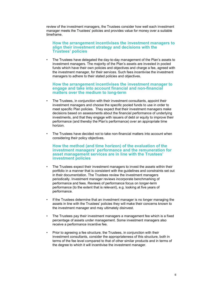review of the investment managers, the Trustees consider how well each investment manager meets the Trustees' policies and provides value for money over a suitable timeframe.

## How the arrangement incentivises the investment managers to align their investment strategy and decisions with the Trustees' policies

• The Trustees have delegated the day-to-day management of the Plan's assets to investment managers. The majority of the Plan's assets are invested in pooled funds which have their own policies and objectives and charge a fee, agreed with the investment manager, for their services. Such fees incentivise the investment managers to adhere to their stated policies and objectives.

#### How the arrangement incentivises the investment manager to engage and take into account financial and non-financial matters over the medium to long-term

- The Trustees, in conjunction with their investment consultants, appoint their investment managers and choose the specific pooled funds to use in order to meet specific Plan policies. They expect that their investment managers make decisions based on assessments about the financial performance of underlying investments, and that they engage with issuers of debt or equity to improve their performance (and thereby the Plan's performance) over an appropriate time horizon.
- The Trustees have decided not to take non-financial matters into account when considering their policy objectives.

## How the method (and time horizon) of the evaluation of the investment managers' performance and the remuneration for asset management services are in line with the Trustees' investment policies

- The Trustees expect their investment managers to invest the assets within their portfolio in a manner that is consistent with the guidelines and constraints set out in their documentation. The Trustees review the investment managers periodically. Investment manager reviews incorporate benchmarking of performance and fees. Reviews of performance focus on longer-term performance (to the extent that is relevant), e.g. looking at five years of performance.
- If the Trustees determine that an investment manager is no longer managing the assets in line with the Trustees' policies they will make their concerns known to the investment manager and may ultimately disinvest.
- The Trustees pay their investment managers a management fee which is a fixed percentage of assets under management. Some investment managers also receive a performance incentive fee.
- Prior to agreeing a fee structure, the Trustees, in conjunction with their investment consultants, consider the appropriateness of this structure, both in terms of the fee level compared to that of other similar products and in terms of the degree to which it will incentivise the investment manager.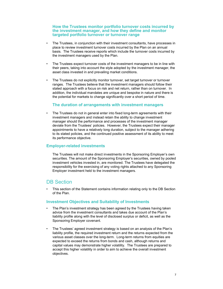## How the Trustees monitor portfolio turnover costs incurred by the investment manager, and how they define and monitor targeted portfolio turnover or turnover range

- The Trustees, in conjunction with their investment consultants, have processes in place to review investment turnover costs incurred by the Plan on an annual basis. The Trustees receive reports which include the turnover costs incurred by the investment managers used by the Plan.
- The Trustees expect turnover costs of the investment managers to be in line with their peers, taking into account the style adopted by the investment manager, the asset class invested in and prevailing market conditions.
- The Trustees do not explicitly monitor turnover, set target turnover or turnover ranges. The Trustees believe that the investment managers should follow their stated approach with a focus on risk and net return, rather than on turnover. In addition, the individual mandates are unique and bespoke in nature and there is the potential for markets to change significantly over a short period of time.

## The duration of arrangements with investment managers

• The Trustees do not in general enter into fixed long-term agreements with their investment managers and instead retain the ability to change investment manager should the performance and processes of the investment manager deviate from the Trustees' policies. However, the Trustees expect their manager appointments to have a relatively long duration, subject to the manager adhering to its stated policies, and the continued positive assessment of its ability to meet its performance objective.

## Employer-related investments

The Trustees will not make direct investments in the Sponsoring Employer's own securities. The amount of the Sponsoring Employer's securities, owned by pooled investment vehicles invested in, are monitored. The Trustees have delegated the responsibility for the exercising of any voting rights attached to any Sponsoring Employer investment held to the investment managers.

## DB Section

• This section of the Statement contains information relating only to the DB Section of the Plan.

## Investment Objectives and Suitability of Investments

- The Plan's investment strategy has been agreed by the Trustees having taken advice from the investment consultants and takes due account of the Plan's liability profile along with the level of disclosed surplus or deficit, as well as the Sponsoring Employer covenant.
- The Trustees' agreed investment strategy is based on an analysis of the Plan's liability profile, the required investment return and the returns expected from the various asset classes over the long-term. Long-term returns from equities are expected to exceed the returns from bonds and cash, although returns and capital values may demonstrate higher volatility. The Trustees are prepared to accept this higher volatility in order to aim to achieve the overall investment objectives.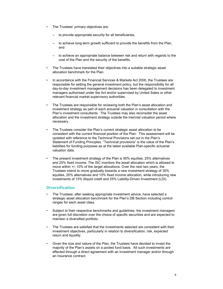- The Trustees' primary objectives are:
	- to provide appropriate security for all beneficiaries,
	- to achieve long-term growth sufficient to provide the benefits from the Plan, and
	- to achieve an appropriate balance between risk and return with regards to the cost of the Plan and the security of the benefits.
- The Trustees have translated their objectives into a suitable strategic asset allocation benchmark for the Plan.
- In accordance with the Financial Services & Markets Act 2000, the Trustees are responsible for setting the general investment policy, but the responsibility for all day-to-day investment management decisions has been delegated to investment managers authorised under the Act and/or supervised by United Sates or other relevant financial market supervisory authorities.
- The Trustees are responsible for reviewing both the Plan's asset allocation and investment strategy as part of each actuarial valuation in consultation with the Plan's investment consultants. The Trustees may also reconsider the asset allocation and the investment strategy outside the triennial valuation period where necessary.
- The Trustees consider the Plan's current strategic asset allocation to be consistent with the current financial position of the Plan. This assessment will be updated with reference to the Technical Provisions set out in the Plan's Statement of Funding Principles. "Technical provisions" is the value of the Plan's liabilities for funding purposes as at the latest available Plan-specific actuarial valuation date.
- The present investment strategy of the Plan is 50% equities, 25% alternatives and 25% fixed income. The ISC monitors the asset allocation which is allowed to move within +/- 10% of the target allocations. Over the next two years, the Trustees intend to move gradually towards a new investment strategy of 30% equities, 20% alternatives and 10% fixed income allocation, while introducing new investments of 15% illiquid credit and 25% Liability-Driven Investment (LDI).

## **Diversification**

- The Trustees, after seeking appropriate investment advice, have selected a strategic asset allocation benchmark for the Plan's DB Section including control ranges for each asset class.
- Subject to their respective benchmarks and guidelines, the investment managers are given full discretion over the choice of specific securities and are expected to maintain a diversified portfolio.
- The Trustees are satisfied that the investments selected are consistent with their investment objectives, particularly in relation to diversification, risk, expected return and liquidity.
- Given the size and nature of the Plan, the Trustees have decided to invest the majority of the Plan's assets on a pooled fund basis. All such investments are effected through a direct agreement with an investment manager and/or through an insurance contract.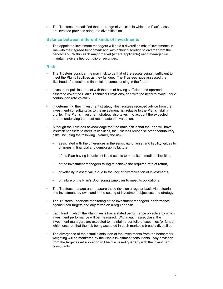• The Trustees are satisfied that the range of vehicles in which the Plan's assets are invested provides adequate diversification.

## Balance between different kinds of investments

• The appointed investment managers will hold a diversified mix of investments in line with their agreed benchmark and within their discretion to diverge from the benchmark. Within each major market (where applicable) each manager will maintain a diversified portfolio of securities.

#### Risk

- The Trustees consider the main risk to be that of the assets being insufficient to meet the Plan's liabilities as they fall due. The Trustees have assessed the likelihood of undesirable financial outcomes arising in the future.
- Investment policies are set with the aim of having sufficient and appropriate assets to cover the Plan's Technical Provisions, and with the need to avoid undue contribution rate volatility.
- In determining their investment strategy, the Trustees received advice from the investment consultants as to the investment risk relative to the Plan's liability profile. The Plan's investment strategy also takes into account the expected returns underlying the most recent actuarial valuation.
- Although the Trustees acknowledge that the main risk is that the Plan will have insufficient assets to meet its liabilities, the Trustees recognise other contributory risks, including the following. Namely the risk:
	- associated with the differences in the sensitivity of asset and liability values to changes in financial and demographic factors,
	- of the Plan having insufficient liquid assets to meet its immediate liabilities,
	- of the investment managers failing to achieve the required rate of return,
	- of volatility in asset value due to the lack of diversification of investments,
	- of failure of the Plan's Sponsoring Employer to meet its obligations.
- The Trustees manage and measure these risks on a regular basis via actuarial and investment reviews, and in the setting of investment objectives and strategy.
- The Trustees undertake monitoring of the investment managers' performance against their targets and objectives on a regular basis.
- Each fund in which the Plan invests has a stated performance objective by which investment performance will be measured. Within each asset class, the investment managers are expected to maintain a portfolio of securities (or funds), which ensures that the risk being accepted in each market is broadly diversified.
- The divergence of the actual distribution of the investments from the benchmark weighting will be monitored by the Plan's investment consultants. Any deviation from the target asset allocation will be discussed quarterly with the investment consultants.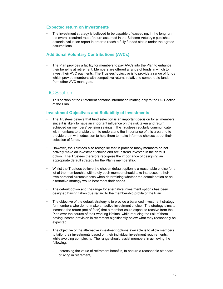## Expected return on investments

The investment strategy is believed to be capable of exceeding, in the long run, the overall required rate of return assumed in the Scheme Actuary's published actuarial valuation report in order to reach a fully funded status under the agreed assumptions.

## Additional Voluntary Contributions (AVCs)

• The Plan provides a facility for members to pay AVCs into the Plan to enhance their benefits at retirement. Members are offered a range of funds in which to invest their AVC payments. The Trustees' objective is to provide a range of funds which provide members with competitive returns relative to comparable funds from other AVC managers.

## DC Section

This section of the Statement contains information relating only to the DC Section of the Plan.

## Investment Objectives and Suitability of Investments

- The Trustees believe that fund selection is an important decision for all members since it is likely to have an important influence on the risk taken and return achieved on members' pension savings. The Trustees regularly communicate with members to enable them to understand the importance of this area and to provide them with education to help them to make informed choices about their selection of funds.
- However, the Trustees also recognise that in practice many members do not actively make an investment choice and are instead invested in the default option. The Trustees therefore recognise the importance of designing an appropriate default strategy for the Plan's membership.
- Whilst the Trustees believe the chosen default option is a reasonable choice for a lot of the membership, ultimately each member should take into account their own personal circumstances when determining whether the default option or an alternative strategy would best meet their needs.
- The default option and the range for alternative investment options has been designed having taken due regard to the membership profile of the Plan.
- The objective of the default strategy is to provide a balanced investment strategy for members who do not make an active investment choice. The strategy aims to increase the return (net of fees) that a member could expect to receive from the Plan over the course of their working lifetime, while reducing the risk of them having income provision in retirement significantly below what may reasonably be expected.
- The objective of the alternative investment options available is to allow members to tailor their investments based on their individual investment requirements, while avoiding complexity. The range should assist members in achieving the following:
	- increasing the value of retirement benefits, to ensure a reasonable standard of living in retirement,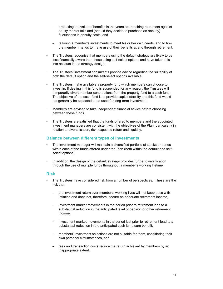- protecting the value of benefits in the years approaching retirement against equity market falls and (should they decide to purchase an annuity) fluctuations in annuity costs, and
- tailoring a member's investments to meet his or her own needs, and to how the member intends to make use of their benefits at and through retirement.
- The Trustees recognise that members using the default strategy are likely to be less financially aware than those using self-select options and have taken this into account in the strategy design.
- The Trustees' investment consultants provide advice regarding the suitability of both the default option and the self-select options available.
- The Trustees make available a property fund which members can choose to invest in. If dealing in this fund is suspended for any reason, the Trustees will temporarily divert member contributions from the property fund to a cash fund. The objective of the cash fund is to provide capital stability and this fund would not generally be expected to be used for long-term investment.
- Members are advised to take independent financial advice before choosing between these funds.
- The Trustees are satisfied that the funds offered to members and the appointed investment managers are consistent with the objectives of the Plan, particularly in relation to diversification, risk, expected return and liquidity.

## Balance between different types of investments

- The investment manager will maintain a diversified portfolio of stocks or bonds within each of the funds offered under the Plan (both within the default and selfselect options).
- In addition, the design of the default strategy provides further diversification through the use of multiple funds throughout a member's working lifetime.

## Risk

- The Trustees have considered risk from a number of perspectives. These are the risk that:
	- the investment return over members' working lives will not keep pace with inflation and does not, therefore, secure an adequate retirement income,
	- investment market movements in the period prior to retirement lead to a substantial reduction in the anticipated level of pension or other retirement income,
	- investment market movements in the period just prior to retirement lead to a substantial reduction in the anticipated cash lump sum benefit,
	- members' investment selections are not suitable for them, considering their own personal circumstances, and
	- fees and transaction costs reduce the return achieved by members by an inappropriate extent.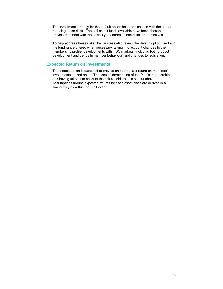- The investment strategy for the default option has been chosen with the aim of reducing these risks. The self-select funds available have been chosen to provide members with the flexibility to address these risks for themselves.
- To help address these risks, the Trustees also review the default option used and the fund range offered when necessary, taking into account changes to the membership profile, developments within DC markets (including both product development and trends in member behaviour) and changes to legislation.

## Expected Return on investments

The default option is expected to provide an appropriate return on members' investments, based on the Trustees' understanding of the Plan's membership and having taken into account the risk considerations set out above. Assumptions around expected returns for each asset class are derived in a similar way as within the DB Section.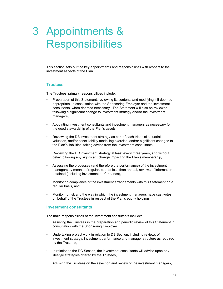## 3 Appointments & **Responsibilities**

This section sets out the key appointments and responsibilities with respect to the investment aspects of the Plan.

#### **Trustees**

The Trustees' primary responsibilities include:

- Preparation of this Statement, reviewing its contents and modifying it if deemed appropriate, in consultation with the Sponsoring Employer and the investment consultants, when deemed necessary. The Statement will also be reviewed following a significant change to investment strategy and/or the investment managers,
- Appointing investment consultants and investment managers as necessary for the good stewardship of the Plan's assets,
- Reviewing the DB investment strategy as part of each triennial actuarial valuation, and/or asset liability modelling exercise, and/or significant changes to the Plan's liabilities, taking advice from the investment consultants,
- Reviewing the DC investment strategy at least every three years, and without delay following any significant change impacting the Plan's membership,
- Assessing the processes (and therefore the performance) of the investment managers by means of regular, but not less than annual, reviews of information obtained (including investment performance),
- Monitoring compliance of the investment arrangements with this Statement on a regular basis, and
- Monitoring risk and the way in which the investment managers have cast votes on behalf of the Trustees in respect of the Plan's equity holdings.

#### Investment consultants

The main responsibilities of the investment consultants include:

- Assisting the Trustees in the preparation and periodic review of this Statement in consultation with the Sponsoring Employer,
- Undertaking project work in relation to DB Section, including reviews of investment strategy, investment performance and manager structure as required by the Trustees,
- In relation to the DC Section, the investment consultants will advise upon any lifestyle strategies offered by the Trustees,
- Advising the Trustees on the selection and review of the investment managers,